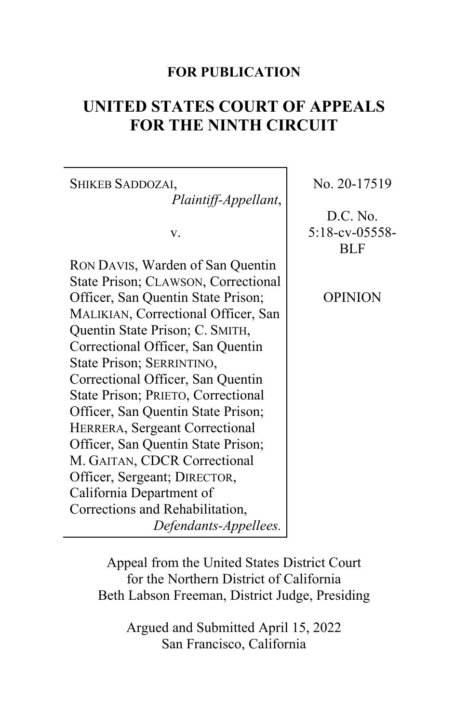# **FOR PUBLICATION**

# **UNITED STATES COURT OF APPEALS FOR THE NINTH CIRCUIT**

| <b>SHIKEB SADDOZAI,</b>             | No.     |
|-------------------------------------|---------|
| Plaintiff-Appellant,                |         |
|                                     | D.      |
| v.                                  | $5:18-$ |
|                                     |         |
| RON DAVIS, Warden of San Quentin    |         |
| State Prison; CLAWSON, Correctional |         |
| Officer, San Quentin State Prison;  | ОF      |
| MALIKIAN, Correctional Officer, San |         |
| Quentin State Prison; C. SMITH,     |         |
| Correctional Officer, San Quentin   |         |
| State Prison; SERRINTINO,           |         |
| Correctional Officer, San Quentin   |         |
| State Prison; PRIETO, Correctional  |         |
| Officer, San Quentin State Prison;  |         |
| HERRERA, Sergeant Correctional      |         |
| Officer, San Quentin State Prison;  |         |
| M. GAITAN, CDCR Correctional        |         |
| Officer, Sergeant; DIRECTOR,        |         |
| California Department of            |         |
| Corrections and Rehabilitation,     |         |
| Defendants-Appellees.               |         |
|                                     |         |

20-17519

C. No. cv-05558-BLF

OPINION

Appeal from the United States District Court for the Northern District of California Beth Labson Freeman, District Judge, Presiding

> Argued and Submitted April 15, 2022 San Francisco, California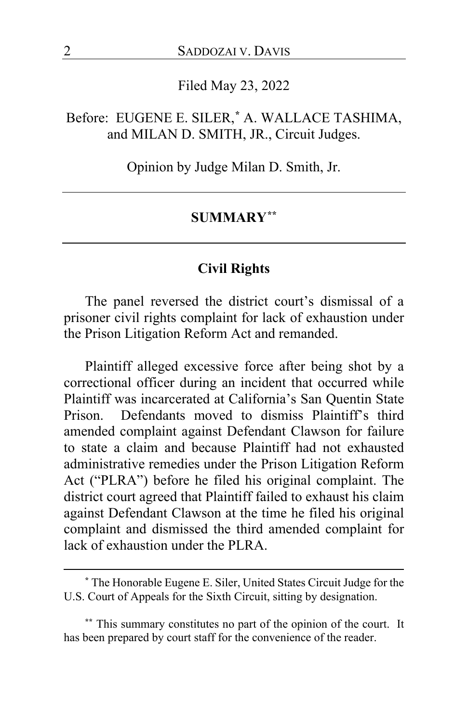## Filed May 23, 2022

# Before: EUGENE E. SILER,**[\\*](#page-1-0)** A. WALLACE TASHIMA, and MILAN D. SMITH, JR., Circuit Judges.

Opinion by Judge Milan D. Smith, Jr.

#### **SUMMARY[\\*\\*](#page-1-1)**

# **Civil Rights**

The panel reversed the district court's dismissal of a prisoner civil rights complaint for lack of exhaustion under the Prison Litigation Reform Act and remanded.

Plaintiff alleged excessive force after being shot by a correctional officer during an incident that occurred while Plaintiff was incarcerated at California's San Quentin State Prison. Defendants moved to dismiss Plaintiff's third amended complaint against Defendant Clawson for failure to state a claim and because Plaintiff had not exhausted administrative remedies under the Prison Litigation Reform Act ("PLRA") before he filed his original complaint. The district court agreed that Plaintiff failed to exhaust his claim against Defendant Clawson at the time he filed his original complaint and dismissed the third amended complaint for lack of exhaustion under the PLRA.

<span id="page-1-0"></span>**<sup>\*</sup>** The Honorable Eugene E. Siler, United States Circuit Judge for the U.S. Court of Appeals for the Sixth Circuit, sitting by designation.

<span id="page-1-1"></span>**<sup>\*\*</sup>** This summary constitutes no part of the opinion of the court. It has been prepared by court staff for the convenience of the reader.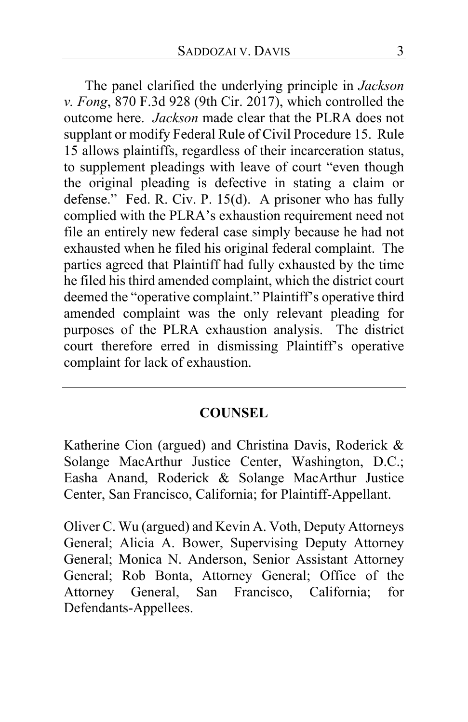The panel clarified the underlying principle in *Jackson v. Fong*, 870 F.3d 928 (9th Cir. 2017), which controlled the outcome here. *Jackson* made clear that the PLRA does not supplant or modify Federal Rule of Civil Procedure 15. Rule 15 allows plaintiffs, regardless of their incarceration status, to supplement pleadings with leave of court "even though the original pleading is defective in stating a claim or defense." Fed. R. Civ. P. 15(d). A prisoner who has fully complied with the PLRA's exhaustion requirement need not file an entirely new federal case simply because he had not exhausted when he filed his original federal complaint. The parties agreed that Plaintiff had fully exhausted by the time he filed his third amended complaint, which the district court deemed the "operative complaint." Plaintiff's operative third amended complaint was the only relevant pleading for purposes of the PLRA exhaustion analysis. The district court therefore erred in dismissing Plaintiff's operative complaint for lack of exhaustion.

# **COUNSEL**

Katherine Cion (argued) and Christina Davis, Roderick & Solange MacArthur Justice Center, Washington, D.C.; Easha Anand, Roderick & Solange MacArthur Justice Center, San Francisco, California; for Plaintiff-Appellant.

Oliver C. Wu (argued) and Kevin A. Voth, Deputy Attorneys General; Alicia A. Bower, Supervising Deputy Attorney General; Monica N. Anderson, Senior Assistant Attorney General; Rob Bonta, Attorney General; Office of the Attorney General, San Francisco, California; for Defendants-Appellees.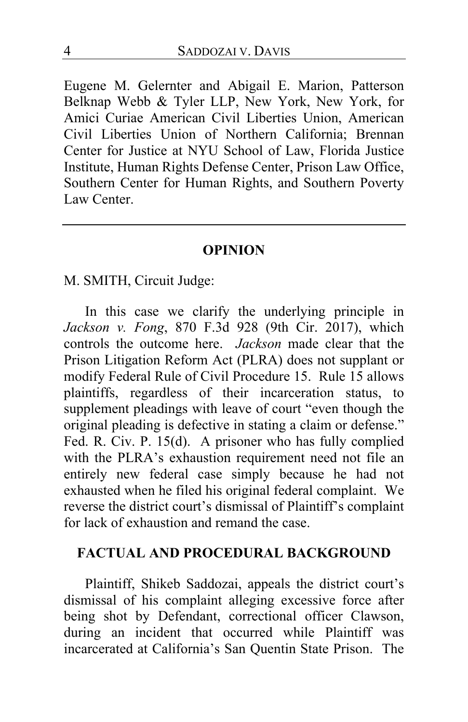Eugene M. Gelernter and Abigail E. Marion, Patterson Belknap Webb & Tyler LLP, New York, New York, for Amici Curiae American Civil Liberties Union, American Civil Liberties Union of Northern California; Brennan Center for Justice at NYU School of Law, Florida Justice Institute, Human Rights Defense Center, Prison Law Office, Southern Center for Human Rights, and Southern Poverty Law Center.

#### **OPINION**

M. SMITH, Circuit Judge:

In this case we clarify the underlying principle in *Jackson v. Fong*, 870 F.3d 928 (9th Cir. 2017), which controls the outcome here. *Jackson* made clear that the Prison Litigation Reform Act (PLRA) does not supplant or modify Federal Rule of Civil Procedure 15. Rule 15 allows plaintiffs, regardless of their incarceration status, to supplement pleadings with leave of court "even though the original pleading is defective in stating a claim or defense." Fed. R. Civ. P. 15(d). A prisoner who has fully complied with the PLRA's exhaustion requirement need not file an entirely new federal case simply because he had not exhausted when he filed his original federal complaint. We reverse the district court's dismissal of Plaintiff's complaint for lack of exhaustion and remand the case.

## **FACTUAL AND PROCEDURAL BACKGROUND**

Plaintiff, Shikeb Saddozai, appeals the district court's dismissal of his complaint alleging excessive force after being shot by Defendant, correctional officer Clawson, during an incident that occurred while Plaintiff was incarcerated at California's San Quentin State Prison. The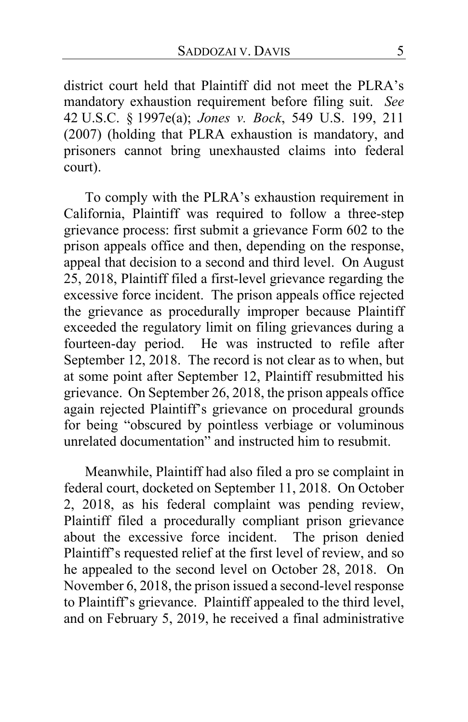district court held that Plaintiff did not meet the PLRA's mandatory exhaustion requirement before filing suit. *See*  42 U.S.C. § 1997e(a); *Jones v. Bock*, 549 U.S. 199, 211 (2007) (holding that PLRA exhaustion is mandatory, and prisoners cannot bring unexhausted claims into federal court).

To comply with the PLRA's exhaustion requirement in California, Plaintiff was required to follow a three-step grievance process: first submit a grievance Form 602 to the prison appeals office and then, depending on the response, appeal that decision to a second and third level. On August 25, 2018, Plaintiff filed a first-level grievance regarding the excessive force incident. The prison appeals office rejected the grievance as procedurally improper because Plaintiff exceeded the regulatory limit on filing grievances during a fourteen-day period. He was instructed to refile after September 12, 2018. The record is not clear as to when, but at some point after September 12, Plaintiff resubmitted his grievance. On September 26, 2018, the prison appeals office again rejected Plaintiff's grievance on procedural grounds for being "obscured by pointless verbiage or voluminous unrelated documentation" and instructed him to resubmit.

Meanwhile, Plaintiff had also filed a pro se complaint in federal court, docketed on September 11, 2018. On October 2, 2018, as his federal complaint was pending review, Plaintiff filed a procedurally compliant prison grievance about the excessive force incident. The prison denied Plaintiff's requested relief at the first level of review, and so he appealed to the second level on October 28, 2018. On November 6, 2018, the prison issued a second-level response to Plaintiff's grievance. Plaintiff appealed to the third level, and on February 5, 2019, he received a final administrative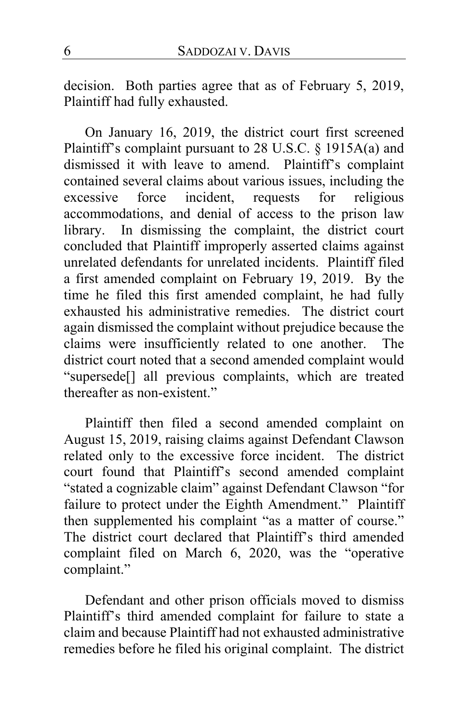decision.Both parties agree that as of February 5, 2019, Plaintiff had fully exhausted.

On January 16, 2019, the district court first screened Plaintiff's complaint pursuant to 28 U.S.C. § 1915A(a) and dismissed it with leave to amend. Plaintiff's complaint contained several claims about various issues, including the excessive force incident, requests for religious accommodations, and denial of access to the prison law library. In dismissing the complaint, the district court concluded that Plaintiff improperly asserted claims against unrelated defendants for unrelated incidents. Plaintiff filed a first amended complaint on February 19, 2019. By the time he filed this first amended complaint, he had fully exhausted his administrative remedies. The district court again dismissed the complaint without prejudice because the claims were insufficiently related to one another. The district court noted that a second amended complaint would "supersede[] all previous complaints, which are treated thereafter as non-existent."

Plaintiff then filed a second amended complaint on August 15, 2019, raising claims against Defendant Clawson related only to the excessive force incident. The district court found that Plaintiff's second amended complaint "stated a cognizable claim" against Defendant Clawson "for failure to protect under the Eighth Amendment." Plaintiff then supplemented his complaint "as a matter of course." The district court declared that Plaintiff's third amended complaint filed on March 6, 2020, was the "operative complaint."

Defendant and other prison officials moved to dismiss Plaintiff's third amended complaint for failure to state a claim and because Plaintiff had not exhausted administrative remedies before he filed his original complaint. The district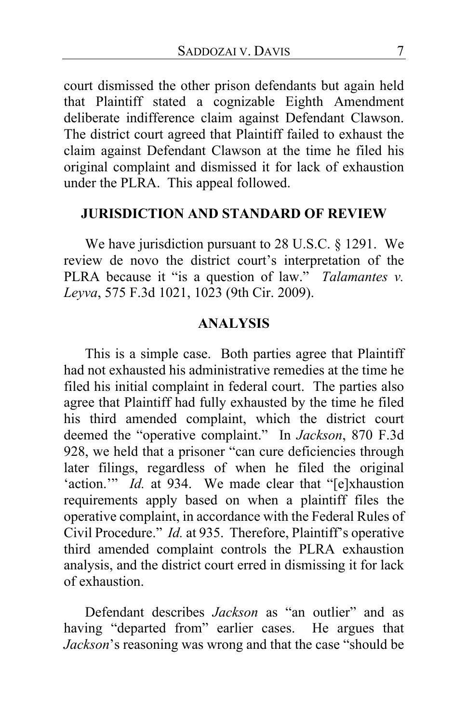court dismissed the other prison defendants but again held that Plaintiff stated a cognizable Eighth Amendment deliberate indifference claim against Defendant Clawson. The district court agreed that Plaintiff failed to exhaust the claim against Defendant Clawson at the time he filed his original complaint and dismissed it for lack of exhaustion under the PLRA. This appeal followed.

# **JURISDICTION AND STANDARD OF REVIEW**

We have jurisdiction pursuant to 28 U.S.C. § 1291. We review de novo the district court's interpretation of the PLRA because it "is a question of law." *Talamantes v. Leyva*, 575 F.3d 1021, 1023 (9th Cir. 2009).

# **ANALYSIS**

This is a simple case. Both parties agree that Plaintiff had not exhausted his administrative remedies at the time he filed his initial complaint in federal court. The parties also agree that Plaintiff had fully exhausted by the time he filed his third amended complaint, which the district court deemed the "operative complaint." In *Jackson*, 870 F.3d 928, we held that a prisoner "can cure deficiencies through later filings, regardless of when he filed the original 'action.'" *Id.* at 934. We made clear that "[e]xhaustion requirements apply based on when a plaintiff files the operative complaint, in accordance with the Federal Rules of Civil Procedure." *Id.* at 935. Therefore, Plaintiff's operative third amended complaint controls the PLRA exhaustion analysis, and the district court erred in dismissing it for lack of exhaustion.

Defendant describes *Jackson* as "an outlier" and as having "departed from" earlier cases.He argues that *Jackson*'s reasoning was wrong and that the case "should be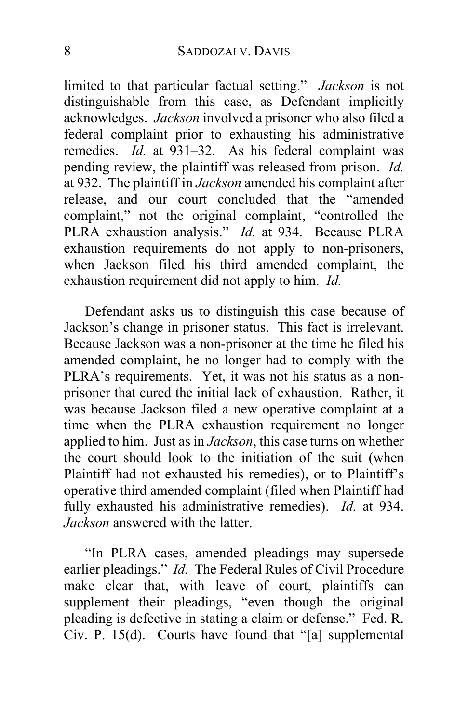limited to that particular factual setting." *Jackson* is not distinguishable from this case, as Defendant implicitly acknowledges. *Jackson* involved a prisoner who also filed a federal complaint prior to exhausting his administrative remedies. *Id.* at 931–32. As his federal complaint was pending review, the plaintiff was released from prison. *Id.* at 932. The plaintiff in *Jackson* amended his complaint after release, and our court concluded that the "amended complaint," not the original complaint, "controlled the PLRA exhaustion analysis." *Id.* at 934. Because PLRA exhaustion requirements do not apply to non-prisoners, when Jackson filed his third amended complaint, the exhaustion requirement did not apply to him. *Id.*

Defendant asks us to distinguish this case because of Jackson's change in prisoner status. This fact is irrelevant. Because Jackson was a non-prisoner at the time he filed his amended complaint, he no longer had to comply with the PLRA's requirements. Yet, it was not his status as a nonprisoner that cured the initial lack of exhaustion. Rather, it was because Jackson filed a new operative complaint at a time when the PLRA exhaustion requirement no longer applied to him. Just as in *Jackson*, this case turns on whether the court should look to the initiation of the suit (when Plaintiff had not exhausted his remedies), or to Plaintiff's operative third amended complaint (filed when Plaintiff had fully exhausted his administrative remedies). *Id.* at 934. *Jackson* answered with the latter.

"In PLRA cases, amended pleadings may supersede earlier pleadings." *Id.* The Federal Rules of Civil Procedure make clear that, with leave of court, plaintiffs can supplement their pleadings, "even though the original pleading is defective in stating a claim or defense." Fed. R. Civ. P. 15(d). Courts have found that "[a] supplemental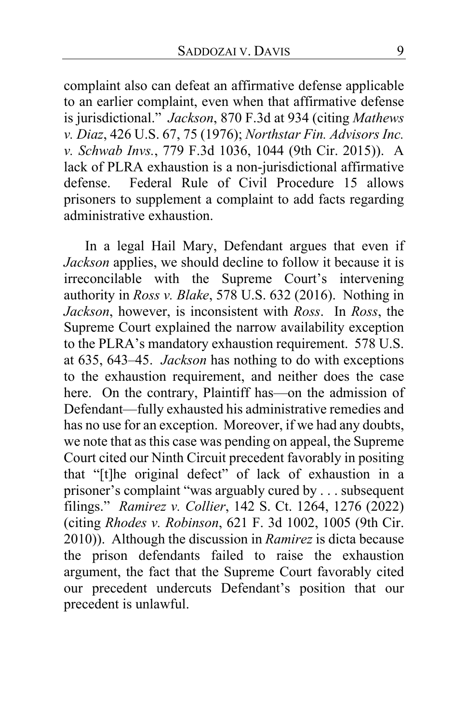complaint also can defeat an affirmative defense applicable to an earlier complaint, even when that affirmative defense is jurisdictional." *Jackson*, 870 F.3d at 934 (citing *Mathews v. Diaz*, 426 U.S. 67, 75 (1976); *Northstar Fin. Advisors Inc. v. Schwab Invs.*, 779 F.3d 1036, 1044 (9th Cir. 2015)). A lack of PLRA exhaustion is a non-jurisdictional affirmative defense. Federal Rule of Civil Procedure 15 allows prisoners to supplement a complaint to add facts regarding administrative exhaustion.

In a legal Hail Mary, Defendant argues that even if *Jackson* applies, we should decline to follow it because it is irreconcilable with the Supreme Court's intervening authority in *Ross v. Blake*, 578 U.S. 632 (2016). Nothing in *Jackson*, however, is inconsistent with *Ross*. In *Ross*, the Supreme Court explained the narrow availability exception to the PLRA's mandatory exhaustion requirement. 578 U.S. at 635, 643–45. *Jackson* has nothing to do with exceptions to the exhaustion requirement, and neither does the case here. On the contrary, Plaintiff has—on the admission of Defendant—fully exhausted his administrative remedies and has no use for an exception. Moreover, if we had any doubts, we note that as this case was pending on appeal, the Supreme Court cited our Ninth Circuit precedent favorably in positing that "[t]he original defect" of lack of exhaustion in a prisoner's complaint "was arguably cured by . . . subsequent filings." *Ramirez v. Collier*, 142 S. Ct. 1264, 1276 (2022) (citing *Rhodes v. Robinson*, 621 F. 3d 1002, 1005 (9th Cir. 2010)). Although the discussion in *Ramirez* is dicta because the prison defendants failed to raise the exhaustion argument, the fact that the Supreme Court favorably cited our precedent undercuts Defendant's position that our precedent is unlawful.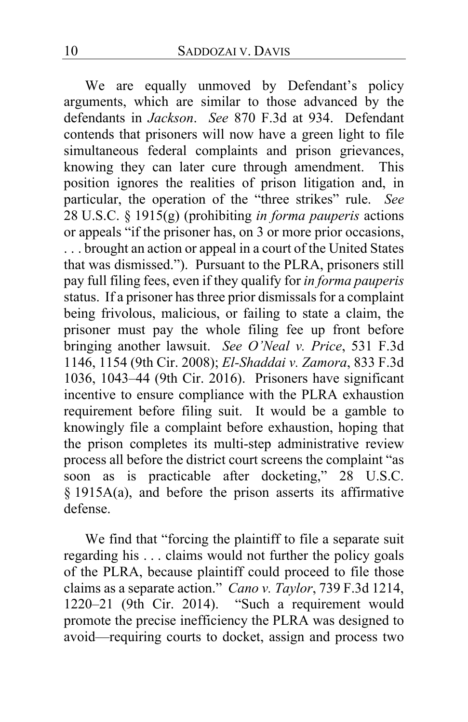We are equally unmoved by Defendant's policy arguments, which are similar to those advanced by the defendants in *Jackson*. *See* 870 F.3d at 934. Defendant contends that prisoners will now have a green light to file simultaneous federal complaints and prison grievances, knowing they can later cure through amendment. This position ignores the realities of prison litigation and, in particular, the operation of the "three strikes" rule. *See*  28 U.S.C. § 1915(g) (prohibiting *in forma pauperis* actions or appeals "if the prisoner has, on 3 or more prior occasions, . . . brought an action or appeal in a court of the United States that was dismissed."). Pursuant to the PLRA, prisoners still pay full filing fees, even if they qualify for *in forma pauperis*  status. If a prisoner hasthree prior dismissals for a complaint being frivolous, malicious, or failing to state a claim, the prisoner must pay the whole filing fee up front before bringing another lawsuit. *See O'Neal v. Price*, 531 F.3d 1146, 1154 (9th Cir. 2008); *El-Shaddai v. Zamora*, 833 F.3d 1036, 1043–44 (9th Cir. 2016). Prisoners have significant incentive to ensure compliance with the PLRA exhaustion requirement before filing suit. It would be a gamble to knowingly file a complaint before exhaustion, hoping that the prison completes its multi-step administrative review process all before the district court screens the complaint "as soon as is practicable after docketing," 28 U.S.C. § 1915A(a), and before the prison asserts its affirmative defense.

We find that "forcing the plaintiff to file a separate suit regarding his . . . claims would not further the policy goals of the PLRA, because plaintiff could proceed to file those claims as a separate action." *Cano v. Taylor*, 739 F.3d 1214, 1220–21 (9th Cir. 2014). "Such a requirement would promote the precise inefficiency the PLRA was designed to avoid—requiring courts to docket, assign and process two